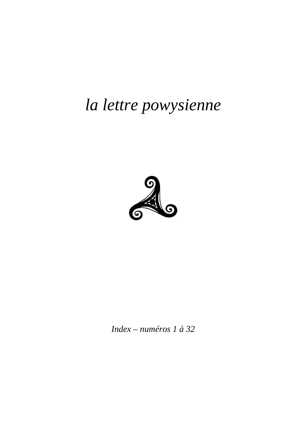# la lettre powysienne



Index – numéros 1 à 32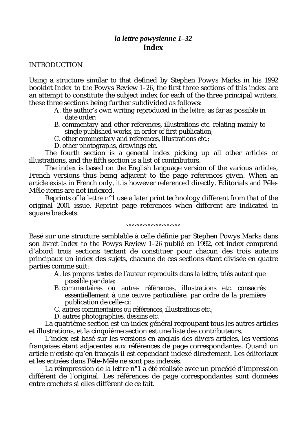# *la lettre powysienne 1–32* **Index**

#### INTRODUCTION

Using a structure similar to that defined by Stephen Powys Marks in his 1992 booklet *Index to the* Powys Review *1–26*, the first three sections of this index are an attempt to constitute the subject index for each of the three principal writers, these three sections being further subdivided as follows:

- A. the author's own writing reproduced in the *lettre*, as far as possible in date order;
- B. commentary and other references, illustrations etc. relating mainly to single published works, in order of first publication;
- C. other commentary and references, illustrations etc.;
- D. other photographs, drawings etc.

The fourth section is a general index picking up all other articles or illustrations, and the fifth section is a list of contributors.

The index is based on the English language version of the various articles, French versions thus being adjacent to the page references given. When an article exists in French only, it is however referenced directly. Editorials and Pêle-Mêle items are not indexed.

Reprints of *la lettre* n°1 use a later print technology different from that of the original 2001 issue. Reprint page references when different are indicated in square brackets.

#### *°°°°°°°°°°°°°°°°°°°°*

Basé sur une structure semblable à celle définie par Stephen Powys Marks dans son livret *Index to the* Powys Review *1–26* publié en 1992, cet index comprend d'abord trois sections tentant de constituer pour chacun des trois auteurs principaux un index des sujets, chacune de ces sections étant divisée en quatre parties comme suit:

- A. les propres textes de l'auteur reproduits dans *la lettre*, triés autant que possible par date;
- B. commentaires où autres références, illustrations etc. consacrés essentiellement à une œuvre particulière, par ordre de la première publication de celle-ci;
- C. autres commentaires ou références, illustrations etc.;
- D. autres photographies, dessins etc.

La quatrième section est un index général regroupant tous les autres articles et illustrations, et la cinquième section est une liste des contributeurs.

L'index est basé sur les versions en anglais des divers articles, les versions françaises étant adjacentes aux références de page correspondantes. Quand un article n'existe qu'en français il est cependant indexé directement. Les éditoriaux et les entrées dans Pêle-Mêle ne sont pas indexés.

La réimpression de *la lettre* n°1 a été réalisée avec un procédé d'impression différent de l'original. Les références de page correspondantes sont données entre crochets si elles diffèrent de ce fait.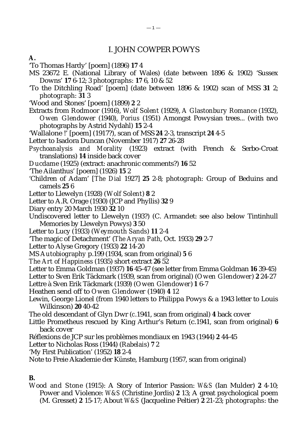### I. JOHN COWPER POWYS

- 'To Thomas Hardy' [poem] (1896) **17** 4
- MS 23672 E. (National Library of Wales) (date between 1896 & 1902) 'Sussex Downs' **17** 6-12; 3 *photographs:* **17** 6, 10 & 52
- 'To the Ditchling Road' [poem] (date between 1896 & 1902) scan of MSS **31** 2; *photograph: 31* 3
- 'Wood and Stones' [poem] (1899) **2** 2
- Extracts from *Rodmoor* (1916), *Wolf Solent* (1929), *A Glastonbury Romance* (1932), *Owen Glendower* (1940), *Porius* (1951) Amongst Powysian trees... (with two photographs by Astrid Nydahl) **15** 2-4
- 'Wallalone !' [poem] (1917?), scan of MSS **24** 2-3, transcript **24** 4-5
- Letter to Isadora Duncan (November 1917) **27** 26-28
- *Psychoanalysis and Morality* (1923) extract (with French & Serbo-Croat translations) **14** inside back cover
- *Ducdame* (1925) (extract: anachronic comments?) **16** 52
- 'The Ailanthus' [poem] (1926) **15** 2
- 'Children of Adam' [*The Dial* 1927] **25** 2-8; *photograph:* Group of Beduins and camels **25** 6
- Letter to Llewelyn (1928) (*Wolf Solent*) **8** 2
- Letter to A.R. Orage (1930) (JCP and Phyllis) **32** 9
- Diary entry 20 March 1930 **32** 10
- Undiscovered letter to Llewelyn (193?) (C. Armandet: see also below Tintinhull Memories by Llewelyn Powys) **3** 50
- Letter to Lucy (1933) (*Weymouth Sands*) **11** 2-4
- 'The magic of Detachment' (*The Aryan Path*, Oct. 1933) **29** 2-7
- Letter to Alyse Gregory (1933) **22** 14-20
- MS *Autobiography* p.199 (1934, scan from original) **5** 6
- *The Art of Happiness* (1935) short extract **26** 52
- Letter to Emma Goldman (1937) **16** 45-47 (see letter from Emma Goldman **16** 39-45)
- Letter to Sven Erik Täckmark (1939, scan from original) (*Owen Glendower*) **2** 24-27
- Lettre à Sven Erik Täckmark (1939) (*Owen Glendower*) **1** 6-7
- Heathen send off to *Owen Glendower* (1940) **4** 12
- Lewin, George Lionel (from 1940 letters to Philippa Powys & a 1943 letter to Louis Wilkinson) **20** 40-42
- The old descendant of Glyn Dwr (*c*.1941, scan from original) **4** back cover
- Little Prometheus rescued by King Arthur's Return (*c*.1941, scan from original) **6** back cover
- Réflexions de JCP sur les problèmes mondiaux en 1943 (1944) **2** 44-45
- Letter to Nicholas Ross (1944) (*Rabelais*) **7** 2
- 'My First Publication' (1952) **18** 2-4
- Note to Freie Akademie der Künste, Hamburg (1957, scan from original)

#### **B.**

*Wood and Stone* (1915): A Story of Interior Passion: *W&S* (Ian Mulder) **2** 4-10; Power and Violence: *W&S* (Christine Jordis) **2** 13; A great psychological poem (M. Gresset) **2** 15-17; About *W&S* (Jacqueline Peltier) **2** 21-23; *photographs*: the

**A.**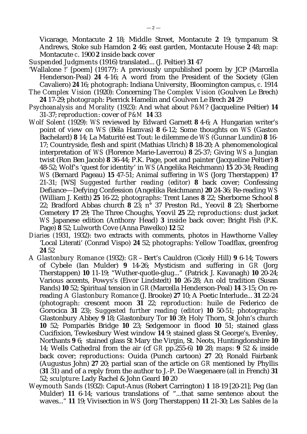Vicarage, Montacute **2** 18; Middle Street, Montacute **2** 19; tympanum St Andrews, Stoke sub Hamdon **2** 46; east garden, Montacute House **2** 48; *map*: Montacute *c*. 1900 **2** inside back cover

*Suspended Judgments* (1916) translated... (J. Peltier) **31** 47

- 'Wallalone !' [poem] (1917?): A previously unpublished poem by JCP (Marcella Henderson-Peal) **24** 4-16; A word from the President of the Society (Glen Cavaliero) **24** 16; *photograph*: Indiana University, Bloomington campus, *c*. 1914
- *The Complex Vision* (1920): Concerning *The Complex Vision* (Goulven Le Brech) **24** 17-29; *photograph*: Pierrick Hamelin and Goulven Le Brech **24** 29
- *Psychoanalysis and Morality* (1923): And what about *P&M*? (Jacqueline Peltier) **14** 31-37; *reproduction*: cover of *P&M* **14** 33
- *Wolf Solent* (1929): *WS* reviewed by Edward Garnett **8** 4-6; A Hungarian writer's point of view on *WS (*Béla Hamvas) **8** 6-12; Some thoughts on *WS* (Gaston Bachelard) **8** 14; La Maturité est Tout: le dilemme de *WS* (Gunnar Lundin) **8** 16- 17; Countryside, flesh and spirit (Mathias Ulrich) **8** 18-20; A phenomenological interpretation of *WS* (Florence Marie-Laverrou) **8** 25-37; Giving *WS* a Jungian twist (Ron Ben Jacob) **8** 36-44; P.K. Page, poet and painter (Jacqueline Peltier) **8** 48-52; Wolf's 'quest for identity' in *WS* (Angelika Reichmann) **15** 20-34; Reading *WS* (Bernard Pageau) **15** 47-51; Animal suffering in *WS* (Jorg Therstappen) **17** 21-31; [WS] *Suggested further reading (editor)* **8** back cover; Confessing Defiance—Defying Confession (Angelika Reichmann) **20** 24-36; Re-reading *WS* (William J. Keith) **25** 16-22; *photographs*: Trent Lanes **8** 22; Sherborne School **8** 22; Bradford Abbas church **8** 23; n° 37 Preston Rd., Yeovil **8** 23; Sherborne Cemetery **17** 29; The Three Choughs, Yeovil **25** 22; *reproductions*: dust jacket *WS* Japanese edition (Anthony Head) **3** inside back cover; Bright Fish (P.K. Page) **8** 52; Lulworth Cove (Anna Pawelko) **12** 52
- *Diaries (*1931, 1932): two extracts with comments, photos in Hawthorne Valley 'Local Literati' (Conrad Vispo) **24** 52; *photographs*: Yellow Toadflax, greenfrog **24** 52
- *A Glastonbury Romance* (1932): *GR* Bert's Cauldron (Cicely Hill) **9** 6-14; Towers of Cybele (Ian Mulder) **9** 14-26; Mysticism and suffering in *GR* (Jorg Therstappen) **10** 11-19; "Wuther-quotle-glug..." (Patrick J. Kavanagh) **10** 20-24; Various accents, Powys's (Eivor Lindstedt) **10** 26-28; An old tradition (Susan Rands) **10** 52; Spiritual tension in *GR* (Marcella Henderson-Peal) **14** 3-15; On rereading *A Glastonbury Romance* (J. Brooke) **27** 10; A Poetic Interlude... **31** 22-24 (*photograph*: crescent moon **31** 22; *reproduction*: huile de Federico de Gorocica **31** 23); *Suggested further reading (editor)* **10** 50-51; *photographs*: Glastonbury Abbey **9** 18; Glastonbury Tor **10** 39; Holy Thorn, St John's church **10** 52; Pomparlès Bridge **10** 23; Sedgemoor in flood **10** 51; stained glass Cucifixion, Tewkesbury West window **14** 9; stained glass St George's, Evenley, Northants **9** 6; stained glass St Mary the Virgin, St. Neots, Huntingdonshire **10** 14; Wells Cathedral from the air (cf *GR* pp.255-6) **10** 28; *maps*: **9** 52 & inside back cover; *reproductions*: Ouida (Punch cartoon) **27** 20; Ronald Fairbank (Augustus John) **27** 20; partial scan of the article on *GR* mentioned by Phyllis (**31** 31) and of a reply from the author to J.-P. De Waegenaere (all in French) **31** 52; *sculpture*: Lady Rachel & John Geard **10** 20
- *Weymouth Sands* (1932): Caput-Anus (Robert Carrington) **1** 18-19 [20-21]; Peg (Ian Mulder) **11** 6-14; various translations of "...that same sentence about the waves..." **11** 19; Vivisection in *WS* (Jorg Therstappen) **11** 21-30; *Les Sables de la*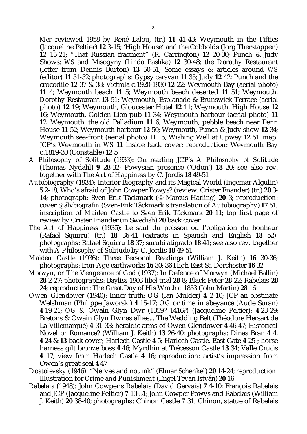*Mer* reviewed 1958 by René Lalou, (tr.) **11** 41-43; Weymouth in the Fifties (Jacqueline Peltier) **12** 3-15; 'High House' and the Cobbolds (Jorg Therstappen) **12** 15-21; "That Russian fragment" (R. Carrington) **12** 20-30; Punch & Judy Shows: *WS* and Misogyny (Linda Pashka) **12** 30-48; the *Dorothy* Restaurant (letter from Dennis Burton) **13** 50-51; Some essays & articles around *WS* (editor) **11** 51-52; *photographs*: Gypsy caravan **11** 35; Judy **12** 42; Punch and the crocodile **12** 37 & 38; Victrola *c*.1920-1930 **12** 22; Weymouth Bay (aerial photo) **11** 4; Weymouth beach **11** 5; Weymouth beach deserted **11** 51; Weymouth, *Dorothy* Restaurant **13** 51; Weymouth, Esplanade & Brunswick Terrace (aerial photo) **12** 19; Weymouth, Gloucester Hotel **12** 11; Weymouth, High House **12** 16; Weymouth, Golden Lion pub **11** 34; Weymouth harbour (aerial photo) **11** 12; Weymouth, the old Palladium **11** 6; Weymouth, pebble beach near Penn House **11** 52; Weymouth harbour **12** 50; Weymouth, Punch & Judy show **12** 34; Weymouth sea-front (aerial photo) **11** 15; Wishing Well at Upwey **12** 51; *map*: JCP's Weymouth in *WS* **11** inside back cover; *reproduction*: Weymouth Bay *c*.1819-30 (Constable) **12** 5

- *A Philosophy of Solitude* (1933): On reading JCP's *A Philosophy of Solitude* (Thomas Nydahl) **9** 28-32; Powysian presence ('Odon') **18** 20; see also rev. together with *The Art of Happiness* by C. Jordis **18** 49-51
- *Autobiography* (1934): Interior Biography and its Magical World (Ingemar Algulin) **5** 2-18; Who's afraid of John Cowper Powys? (review: Crister Enander) (tr.) **20** 3- 14; *photograph*: Sven Erik Täckmark (© Marcus Harling) **20** 3; *reproduction*: cover *Självbiografin* (Sven-Erik Täckmark's translation of *Autobiography*) **17** 51; inscription of *Maiden Castle* to Sven Erik Täckmark **20** 11; top first page of review by Crister Enander (in Swedish) **20** back cover
- *The Art of Happiness* (1935): Le saut du poisson ou l'obligation du bonheur (Rafael Squirru) (tr.) **18** 36-41 (extracts in Spanish and English **18** 52); *photographs*: Rafael Squirru **18** 37; surubí atigrado **18** 41; see also rev. together with *A Philosophy of Solitude* by C. Jordis **18** 49-51
- *Maiden Castle* (1936): Three Personal Readings (William J. Keith) **16** 30-36; *photographs*: Iron-Age earthworks **16** 30; 36 High East St, Dorchester **16** 32
- *Morwyn*, *or The Vengeance of God* (1937): In Defence of *Morwyn* (Michael Ballin) **28** 2-27; *photographs*: Bayliss 1903 libel trial **28** 8; Black Peter **28** 22; Rabelais **28** 24; *reproduction*: The Great Day of His Wrath *c* 1853 (John Martin) **28** 16
- *Owen Glendower* (1940): Inner truth: *OG* (Ian Mulder) **4** 2-10; JCP an obstinate Welshman (Philippe Jaworski) **4** 15-17; *OG* or time in abeyance (Aude Suran) **4** 19-21; *OG &* Owain Glyn Dwr (1359?–1416?) (Jacqueline Peltier); **4** 23-29; Bretons & Owain Glyn Dwr as allies... The Wedding Belt (Théodore Hersart de La Villemarqué) **4** 31-33; heraldic arms of Owen Glendower **4** 46-47; Historical Novel or Romance? (William J. Keith) **13** 26-40; *photographs*: Dinas Bran **4** 4, **4** 24 & **13** back cover; Harlech Castle **4** 5; Harlech Castle, East Gate **4** 25 ; horse harness gilt bronze boss **4** 46; Myrdhin at Trécesson Castle **13** 34; Valle Crucis **4** 17; view from Harlech Castle **4** 16; *reproduction*: artist's impression from Owen's great seal **4** 47
- *Dostoievsky* (1946): "Nerves and not ink" (Elmar Schenkel) **20** 14-24; *reproduction*: Illustration for *Crime and Punishment* (Engel Tevan István) **20** 16
- *Rabelais* (1948): John Cowper's *Rabelais* (David Gervais) **7** 4-10; François Rabelais and JCP (Jacqueline Peltier) **7** 13-31; John Cowper Powys and Rabelais (William J. Keith) **20** 38-40; *photographs*: Chinon Castle **7** 31; Chinon, statue of Rabelais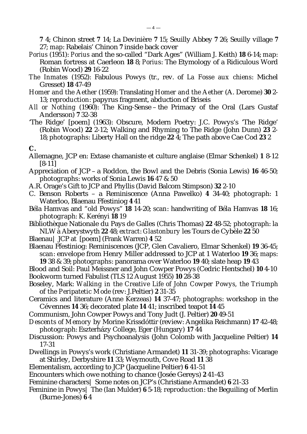**7** 4; Chinon street **7** 14; La Devinière **7** 15; Seuilly Abbey **7** 26; Seuilly village **7** 27; *map*: Rabelais' Chinon **7** inside back cover

- *Porius* (1951): *Porius* and the so-called "Dark Ages" (William J. Keith) **18** 6-14; *map*: Roman fortress at Caerleon **18** 8; *Porius*: The Etymology of a Ridiculous Word (Robin Wood) **29** 16-22
- *The Inmates* (1952): Fabulous Powys (tr., rev. of *La Fosse aux chiens*: Michel Gresset) **18** 47-49
- *Homer and the Aether* (1959): Translating *Homer and the Aether* (A. Derome) **30** 2- 13; *reproduction*: papyrus fragment, abduction of Briseis
- All or Nothing (1960): The King-Sense the Primacy of the Oral (Lars Gustaf Andersson) **7** 32-38
- 'The Ridge' [poem] (1963): Obscure, Modern Poetry: J.C. Powys's 'The Ridge' (Robin Wood) **22** 2-12; Walking and Rhyming to The Ridge (John Dunn) **23** 2- 18; *photographs*: Liberty Hall on the ridge **22** 4; The path above Cae Cod **23** 2

#### **C.**

- Allemagne, JCP en: Extase chamaniste et culture anglaise (Elmar Schenkel) **1** 8-12 [8-11]
- Appreciation of JCP a Roddon, the Bowl and the Debris (Sonia Lewis) **16** 46-50; *photographs*: works of Sonia Lewis **16** 47 & 50
- A.R. Orage's Gift to JCP and Phyllis (David Balcom Stimpson) **32** 2-10
- C. Benson Roberts a Reminiscence (Anna Pawelko) **4** 34-40; *photograph*: 1 Waterloo, Blaenau Ffestiniog **4** 41
- Béla Hamvas and "old Powys" **18** 14-20; *scan*: handwriting of Béla Hamvas **18** 16; *photograph*: K. Kerényi **18** 19
- Bibliothèque Nationale du Pays de Galles (Chris Thomas) **22** 48-52; *photograph*: la NLW à Aberystwyth **22** 48; *extract*: *Glastonbury* les Tours de Cybèle **22** 50
- Blaenau| JCP at [poem] (Frank Warren) **4** 52
- Blaenau Ffestiniog: Reminiscences (JCP, Glen Cavaliero, Elmar Schenkel) **19** 36-45; *scan*: envelope from Henry Miller addressed to JCP at 1 Waterloo **19** 36; *maps*: **19** 38 & 39; *photographs*: panorama over Waterloo **19** 40; slate heap **19** 43
- Blood and Soil: Paul Meissner and John Cowper Powys (Cedric Hentschel) **10** 4-10 Bookworm turned Fabulist (TLS 12 August 1955) **10** 28-38
- Boseley, Mark: *Walking in the Creative Life of John Cowper Powys, the Triumph of the Peripatetic Mode* (rev: J.Peltier) **2** 31-35
- Ceramics and literature (Anne Kerzeas) **14** 37-47; *photographs*: workshop in the Cévennes **14** 36; decorated plate **14** 41; inscribed teapot **14** 45
- Communism, John Cowper Powys and Tony Judt (J. Peltier) **20** 49-51
- *Descents of Memory* by Morine Krissdóttir (review: Angelika Reichmann) **17** 42-48; *photograph*: Eszterházy College, Eger (Hungary) **17** 44
- Discussion: Powys and Psychoanalysis (John Colomb with Jacqueline Peltier) **14** 17-31
- Dwellings in Powys's work (Christiane Armandet) **11** 31-39; *photographs*: Vicarage at Shirley, Derbyshire **11** 33; Weymouth, Cove Road **11** 38
- Elementalism, according to JCP (Jacqueline Peltier) **6** 41-51
- Encounters which owe nothing to chance (Josée Gereys) **2** 41-43
- Feminine characters| Some notes on JCP's (Christiane Armandet) **6** 21-33
- Feminine in Powys| The (Ian Mulder) **6** 5-18; *reproduction*: the Beguiling of Merlin (Burne-Jones) **6** 4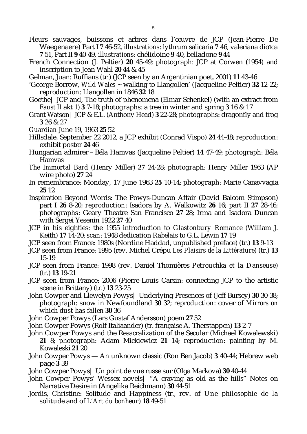- Fleurs sauvages, buissons et arbres dans l'œuvre de JCP (Jean-Pierre De Waegenaere) Part I **7** 46-52, i*llustrations*: lythrum salicaria **7** 46, valeriana dioïca **7** 51, Part II **9** 40-49, *illustrations*: chélidoine **9** 40, belladone **9** 44
- French Connection (J. Peltier) **20** 45-49; *photograph*: JCP at Corwen (1954) and inscription to Jean Wahl **20** 44 & 45
- Gelman, Juan: Ruffians (tr.) (JCP seen by an Argentinian poet, 2001) **11** 43-46
- 'George Borrow, *Wild Wales* ~ walking to Llangollen' (Jacqueline Peltier) **32** 12-22; *reproduction*: Llangollen in 1846 **32** 18
- Goethe| JCP and, The truth of phenomena (Elmar Schenkel) (with an extract from *Faust II* akt 1) **3** 7-18; *photographs*: a tree in winter and spring **3** 16 & 17
- Grant Watson| JCP & E.L. (Anthony Head) **3** 22-28; *photographs*: dragonfly and frog **3** 26 & 27
- *Guardian* June 19, 1963 **25** 52
- Hillsdale, September 22 2012, a JCP exhibit (Conrad Vispo) **24** 44-48; *reproduction*: exhibit poster **24** 46
- Hungarian admirer Béla Hamvas (Jacqueline Peltier) **14** 47-49; *photograph*: Béla Hamvas
- *The Immortal Bard* (Henry Miller) **27** 24-28; *photograph*: Henry Miller 1963 (AP wire photo) **27** 24
- In remembrance: Monday, 17 June 1963 **25** 10-14; *photograph*: Marie Canavvagia **25** 12
- Inspiration Beyond Words: The Powys-Duncan Affair (David Balcom Stimpson) part I **26** 8-20; *reproduction*: Isadora by A. Walkowitz **26** 16; part II **27** 28-46; *photographs*: Geary Theatre San Francisco **27** 28; Irma and Isadora Duncan with Sergei Yesenin 1922 **27** 40
- JCP in his eighties: the 1955 introduction to *Glastonbury Romance* (William J. Keith) **17** 14-20; *scan*: 1948 dedication *Rabelais* to G.L. Lewin **17** 19
- JCP seen from France: 1980s (Nordine Haddad, unpublished preface) (tr.) **13** 9-13
- JCP seen from France: 1995 (rev. Michel Crépu *Les Plaisirs de la Littérature*) (tr.) **13** 15-19
- JCP seen from France: 1998 (rev. Daniel Thomières *Petrouchka et la Danseuse*) (tr.) **13** 19-21
- JCP seen from France: 2006 (Pierre-Louis Carsin: connecting JCP to the artistic scene in Brittany) (tr.) **13** 23-25
- John Cowper and Llewelyn Powys| Underlying Presences of (Jeff Bursey) **30** 30-38; *photograph*: snow in Newfoundland **30** 32; *reproduction*: cover of *Mirrors on which dust has fallen* **30** 36
- John Cowper Powys (Lars Gustaf Andersson) poem **27** 52
- John Cowper Powys (Rolf Italiaander) (tr. française A. Therstappen) **13** 2-7
- John Cowper Powys and the Resacralization of the Secular (Michael Kowalewski) **21** 8; *photograph:* Adam Mickiewicz **21** 14; *reproduction:* painting by M. Kowaleski **21** 20
- John Cowper Powys An unknown classic (Ron Ben Jacob) **3** 40-44; Hebrew web page **3** 39
- John Cowper Powys| Un point de vue russe sur (Olga Markova) **30** 40-44
- John Cowper Powys' Wessex novels| "A craving as old as the hills" Notes on Narrative Desire in (Angelika Reichmann) **30** 44-51
- Jordis, Christine: Solitude and Happiness (tr., rev. of *Une philosophie de la solitude* and of *L'Art du bonheur*) **18** 49-51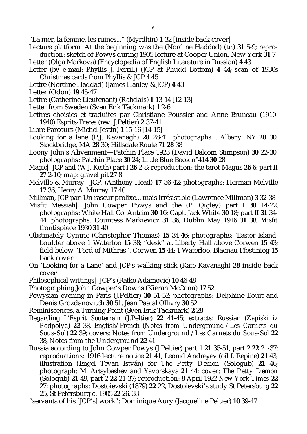"La mer, la femme, les ruines..." (Myrdhin) **1** 32 [inside back cover]

- Lecture platform| At the beginning was the (Nordine Haddad) (tr.) **31** 5-9; *reproduction*: sketch of Powys during 1905 lecture at Cooper Union, New York **31** 7
- Letter (Olga Markova) (Encyclopedia of English Literature in Russian) **4** 43
- Letter (by e-mail: Phyllis J. Ferrill) (JCP at Phudd Bottom) **4** 44; *scan* of 1930s Christmas cards from Phyllis & JCP **4** 45
- Lettre (Nordine Haddad) (James Hanley & JCP) **4** 43
- Letter (Odon) **19** 45-47
- Lettre (Catherine Lieutenant) (*Rabelais*) **1** 13-14 [12-13]
- Letter from Sweden (Sven Erik Täckmark) **1** 2-6
- Lettres choisies et traduites par Christiane Poussier and Anne Bruneau (1910- 1940) *Esprits-Frères* (rev. J.Peltier) **2** 37-41
- Libre Parcours (Michel Jestin) **1** 15-16 [14-15]
- Looking for a lane (P.J. Kavanagh) **28** 28-41; *photographs* : Albany, NY **28** 30; Stockbridge, MA **28** 30; Hillsdale Route 71 **28** 38
- Loony John's Alivenment—Patchin Place 1923 (David Balcom Stimpson) **30** 22-30; *photographs*: Patchin Place **30** 24; Little Blue Book n°414 **30** 28
- Magic| JCP and (W.J. Keith) part I **26** 2-8; *reproduction*: the tarot Magus **26** 6; part II **27** 2-10; *map*: gravel pit **27** 8
- Melville & Murray| JCP, (Anthony Head) **17** 36-42; *photographs*: Herman Melville **17** 36; Henry A. Murray **17** 40
- Millman, JCP par: Un raseur prolixe... mais irrésistible (Lawrence Millman) **3** 32-38
- Misfit Messiah| John Cowper Powys and the (P. Qigley) part I **30** 14-22; *photographs*: White Hall Co. Antrim **30** 16; Capt. Jack White **30** 18; part II **31** 34- 44; *photographs*: Countess Markievicz **31** 36, Dublin May 1916 **31** 38, *Misfit* frontispiece 1930 **31** 40
- Obstinately Cymric (Christopher Thomas) **15** 34-46; *photographs*: 'Easter Island' boulder above 1 Waterloo **15** 38; "desk" at Liberty Hall above Corwen **15** 43; field below "Ford of Mithras", Corwen **15** 44; 1 Waterloo, Blaenau Ffestiniog **15** back cover
- On 'Looking for a Lane' and JCP's walking-stick (Kate Kavanagh) **28** inside back cover
- Philosophical writings| JCP's (Ratko Adamovic) **10** 46-48
- Photographing John Cowper's Downs (Kieran McCann) **17** 52
- Powysian evening in Paris (J.Peltier) **30** 51-52; *photographs*: Delphine Bouit and Denis Grozdanovitch **30** 51, Jean Pascal Ollivry **30** 52
- Reminiscences, a Turning Point (Sven Erik Täckmark) **2** 28
- Regarding *L'Esprit Souterrain* (J.Peltier) **22** 41-45; *extracts*: Russian (*Zapiski iz Podpolya*) **22** 38, English/French (*Notes from Underground / Les Carnets du Sous-Sol*) **22** 39; *covers*: *Notes from Underground / Les Carnets du Sous-Sol* **22** 38, *Notes from the Underground* **22** 41
- Russia according to John Cowper Powys (J.Peltier) part 1 **21** 35-51, part 2 **22** 21-37; *reproductions*: 1916 lecture notice **21** 41, Leonid Andreyev (oil I. Repine) **21** 43, illustration (Engel Tevan István) for *The Petty Demon* (Sologub) **21** 46; *photograph*: M. Artsybashev and Yavorskaya **21** 44; *cover*: *The Petty Demon* (Sologub) **21** 49, part 2 **22** 21-37; *reproduction*: 8 April 1922 *New York Times* **22** 27; *photographs*: Dostoievski (1879) **22** 22, Dostoievski's study St Petersburg **22** 25, St Petersburg *c.* 1905 **22** 26, 33
- "servants of his [JCP's] work": Dominique Aury (Jacqueline Peltier) **10** 39-47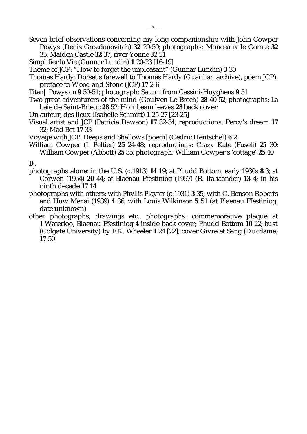- Seven brief observations concerning my long companionship with John Cowper Powys (Denis Grozdanovitch) **32** 29-50; *photographs*: Monceaux le Comte **32** 35, Maiden Castle **32** 37, river Yonne **32** 51
- Simplifier la Vie (Gunnar Lundin) **1** 20-23 [16-19]
- Theme of JCP: "How to forget the unpleasant" (Gunnar Lundin) **3** 30
- Thomas Hardy: Dorset's farewell to Thomas Hardy (*Guardian* archive), poem JCP), preface to *Wood and Stone* (JCP) **17** 2-6
- Titan| Powys on **9** 50-51; *photograph*: Saturn from Cassini-Huyghens **9** 51
- Two great adventurers of the mind (Goulven Le Brech) **28** 40-52; *photographs*: La baie de Saint-Brieuc **28** 52; Hornbeam leaves **28** back cover
- Un auteur, des lieux (Isabelle Schmitt) **1** 25-27 [23-25]
- Visual artist and JCP (Patricia Dawson) **17** 32-34; *reproductions*: Percy's dream **17** 32; Mad Bet **17** 33
- Voyage with JCP: Deeps and Shallows [poem] (Cedric Hentschel) **6** 2
- William Cowper (J. Peltier) **25** 24-48; *reproductions*: Crazy Kate (Fuseli) **25** 30; William Cowper (Abbott) **25** 35; *photograph*: William Cowper's 'cottage' **25** 40

#### **D.**

- photographs alone: in the U.S. (*c*.1913) **14** 19; at Phudd Bottom, early 1930s **8** 3; at Corwen (1954) **20** 44; at Blaenau Ffestiniog (1957) (R. Italiaander) **13** 4; in his ninth decade **17** 14
- photographs with others: with Phyllis Playter (*c*.1931) **3** 35; with C. Benson Roberts and Huw Menai (1939) **4** 36; with Louis Wilkinson **5** 51 (at Blaenau Ffestiniog, date unknown)
- other photographs, drawings etc.: *photographs:* commemorative plaque at 1 Waterloo, Blaenau Ffestiniog **4** inside back cover; Phudd Bottom **10** 22; *bust* (Colgate University) by E.K. Wheeler **1** 24 [22]; cover Givre et Sang (*Ducdame*) **17** 50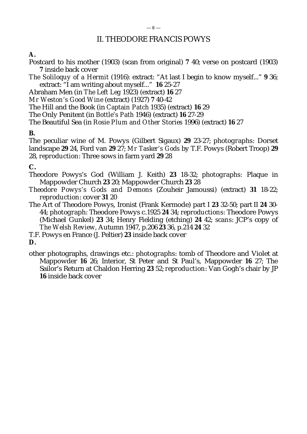# II. THEODORE FRANCIS POWYS

# **A.**

Postcard to his mother (1903) (scan from original) **7** 40; verse on postcard (1903) **7** inside back cover

*The Soliloquy of a Hermit* (1916)*:* extract: "At last I begin to know myself..." **9** 36; extract: "I am writing about myself..." **16** 25-27

Abraham Men (in *The Left Leg* 1923) (extract) **16** 27

*Mr Weston's Good Wine* (extract) (1927) **7** 40-42

The Hill and the Book (in *Captain Patch* 1935) (extract) **16** 29

The Only Penitent (in *Bottle's Path* 1946) (extract) **16** 27-29

The Beautiful Sea (in *Rosie Plum and Other Stories* 1996) (extract) **16** 27

# **B.**

The peculiar wine of M. Powys (Gilbert Sigaux) **29** 23-27; *photographs*: Dorset landscape **29** 24, Ford van **29** 27; *Mr Tasker's Gods* by T.F. Powys (Robert Troop) **29** 28, *reproduction*: Three sows in farm yard **29** 28

# **C.**

- Theodore Powys's God (William J. Keith) **23** 18-32; *photographs:* Plaque in Mappowder Church **23** 20; Mappowder Church **23** 28
- *Theodore Powys's Gods and Demons* (Zouheir Jamoussi) (extract) **31** 18-22; *reproduction*: cover **31** 20
- The Art of Theodore Powys, Ironist (Frank Kermode) part I **23** 32-50; part II **24** 30- 44; *photograph*: Theodore Powys *c*.1925 **24** 34; *reproductions*: Theodore Powys (Michael Gunkel) **23** 34; Henry Fielding (etching) **24** 42; *scans*: JCP's copy of *The Welsh Review*, Autumn 1947, p.206 **23** 36, p.214 **24** 32
- T.F. Powys en France (J. Peltier) **23** inside back cover

#### **D.**

other photographs, drawings etc.: *photographs*: tomb of Theodore and Violet at Mappowder **16** 26; Interior, St Peter and St Paul's, Mappowder **16** 27; The Sailor's Return at Chaldon Herring **23** 52; *reproduction*: Van Gogh's chair by JP **16** inside back cover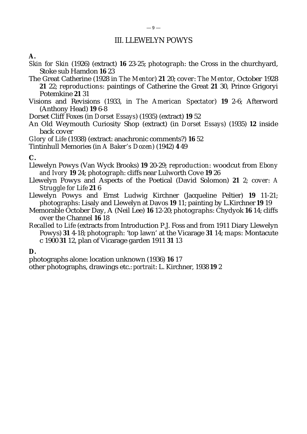# III. LLEWELYN POWYS

**A.**

- *Skin for Skin* (1926) (extract) **16** 23-25; *photograph*: the Cross in the churchyard, Stoke sub Hamdon **16** 23
- The Great Catherine (1928 in *The Mentor*) **21** 20; *cover*: *The Mentor*, October 1928 **21** 22; *reproductions*: paintings of Catherine the Great **21** 30, Prince Grigoryi Potemkine **21** 31
- Visions and Revisions (1933, in *The American Spectator*) **19** 2-6; Afterword (Anthony Head) **19** 6-8
- Dorset Cliff Foxes (in *Dorset Essays*) (1935) (extract) **19** 52
- An Old Weymouth Curiosity Shop (extract) (in *Dorset Essays*) (1935) **12** inside back cover
- *Glory of Life* (1938) (extract: anachronic comments?) **16** 52
- Tintinhull Memories (in *A Baker's Dozen*) (1942) **4** 49

## **C.**

- Llewelyn Powys (Van Wyck Brooks) **19** 20-29; *reproduction*: woodcut from *Ebony and Ivory* **19** 24; *photograph*: cliffs near Lulworth Cove **19** 26
- Llewelyn Powys and Aspects of the Poetical (David Solomon) **21** 2; *cover*: *A Struggle for Life* **21** 6
- Llewelyn Powys and Ernst Ludwig Kirchner (Jacqueline Peltier) **19** 11-21; *photographs*: Lisaly and Llewelyn at Davos **19** 11; painting by L.Kirchner **19** 19
- Memorable October Day, A (Neil Lee) **16** 12-20; *photographs*: Chydyok **16** 14; cliffs over the Channel **16** 18
- *Recalled to Life* (extracts from Introduction P.J. Foss and from 1911 Diary Llewelyn Powys) **31** 4-18; *photograph*: 'top lawn' at the Vicarage **31** 14; *maps*: Montacute *c* 1900 **31** 12, plan of Vicarage garden 1911 **31** 13

**D.**

photographs alone: location unknown (1936) **16** 17

other photographs, drawings etc.: *portrait*: L. Kirchner, 1938 **19** 2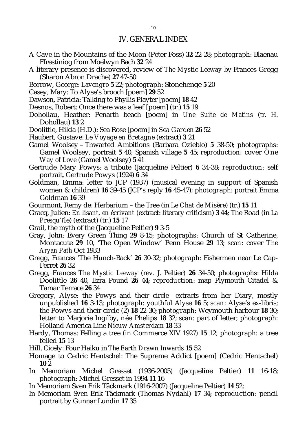## IV. GENERAL INDEX

- A Cave in the Mountains of the Moon (Peter Foss) **32** 22-28; *photograph*: Blaenau Ffrestiniog from Moelwyn Bach **32** 24
- A literary presence is discovered, review of *The Mystic Leeway* by Frances Gregg (Sharon Abron Drache) **27** 47-50
- Borrow, George: *Lavengro* **5** 22; *photograph*: Stonehenge **5** 20
- Casey, Mary: To Alyse's brooch [poem] **29** 52
- Dawson, Patricia: Talking to Phyllis Playter [poem] **18** 42
- Desnos, Robert: Once there was a leaf [poem] (tr.) **15** 19
- Dohollau, Heather: Penarth beach [poem] in *Une Suite de Matins* (tr. H. Dohollau) **13** 2
- Doolittle, Hilda (H.D.): Sea Rose [poem] in *Sea Garden* **26** 52
- Flaubert, Gustave: *Le Voyage en Bretagne* (extract) **3** 21
- Gamel Woolsey Thwarted Ambitions (Barbara Ozieblo) **5** 38-50; *photographs*: Gamel Woolsey, portrait **5** 40; Spanish village **5** 45; *reproduction:* cover *One Way of Love* (Gamel Woolsey) **5** 41
- Gertrude Mary Powys: a tribute (Jacqueline Peltier) **6** 34-38; *reproduction*: self portrait, Gertrude Powys (1924) **6** 34
- Goldman, Emma: letter to JCP (1937) (musical evening in support of Spanish women & children) **16** 39-45 (JCP's reply **16** 45-47); *photograph*: portrait Emma Goldman **16** 39
- Gourmont, Remy de: Herbarium the Tree (in *Le Chat de Misère*) (tr.) **15** 11
- Gracq, Julien: *En lisant, en écrivant* (extract: literary criticism) **3** 44; The Road (in *La Presqu'île*) (extract) (tr.) **15** 17
- Grail, the myth of the (Jacqueline Peltier) **9** 3-5
- Gray, John: Every Green Thing **29** 8-15; *photographs*: Church of St Catherine, Montacute **29** 10, 'The Open Window' Penn House **29** 13; *scan*: cover *The Aryan Path* Oct 1933
- Gregg, Frances 'The Hunch-Back' **26** 30-32; *photograph*: Fishermen near Le Cap-Ferret **26** 32
- Gregg, Frances *The Mystic Leeway* (rev. J. Peltier) **26** 34-50; *photographs*: Hilda Doolittle **26** 40, Ezra Pound **26** 44; *reproduction*: map Plymouth–Citadel & Tamar Terrace **26** 34
- Gregory, Alyse: the Powys and their circle extracts from her Diary, mostly unpublished **16** 3-13; *photograph*: youthful Alyse **16** 5; *scan*: Alyse's ex-libris; the Powys and their circle (2) **18** 22-30; *photograph*: Weymouth harbour **18** 30; letter to Marjorie Ingilby, *née* Phelips **18** 32; *scan*: part of letter; *photograph*: Holland-America Line *Nieuw Amsterdam* **18** 33
- Hardy, Thomas: Felling a tree (in *Commerce* XIV 1927) **15** 12; *photograph*: a tree felled **15** 13
- Hill, Cicely: Four Haiku in *The Earth Drawn Inwards* **15** 52
- Homage to Cedric Hentschel: The Supreme Addict [poem] (Cedric Hentschel) **10** 2
- In Memoriam Michel Gresset (1936-2005) (Jacqueline Peltier) **11** 16-18; *photograph*: Michel Gresset in 1994 **11** 16
- In Memoriam Sven Erik Täckmark (1916-2007) (Jacqueline Peltier) **14** 52;
- In Memoriam Sven Erik Täckmark (Thomas Nydahl) **17** 34; *reproduction*: pencil portrait by Gunnar Lundin **17** 35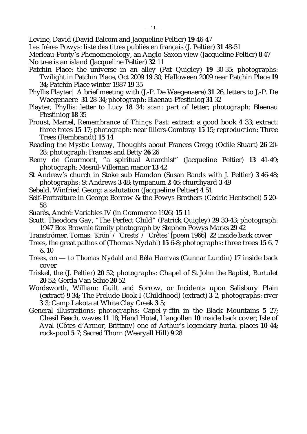Levine, David (David Balcom and Jacqueline Peltier) **19** 46-47

Les frères Powys: liste des titres publiés en français (J. Peltier) **31** 48-51

Merleau-Ponty's Phenomenology, an Anglo-Saxon view (Jacqueline Peltier) **8** 47 No tree is an island (Jacqueline Peltier) **32** 11

- Patchin Place: the universe in an alley (Pat Quigley) **19** 30-35; *photographs*: Twilight in Patchin Place, Oct 2009 **19** 30; Halloween 2009 near Patchin Place **19** 34; Patchin Place winter 1987 **19** 35
- Phyllis Playter| A brief meeting with (J.-P. De Waegenaere) **31** 26, letters to J.-P. De Waegenaere **31** 28-34; *photograph*: Blaenau-Ffestiniog **31** 32
- Playter, Phyllis: letter to Lucy **18** 34; *scan*: part of letter; *photograph*: Blaenau Ffestiniog **18** 35
- Proust, Marcel, *Remembrance of Things Past*: extract: a good book **4** 33; extract: three trees **15** 17; *photograph*: near Illiers-Combray **15** 15; *reproduction*: Three Trees (Rembrandt) **15** 14
- Reading the *Mystic Leeway*, Thoughts about Frances Gregg (Odile Stuart) **26** 20- 28; *photograph*: Frances and Betty **26** 26
- Remy de Gourmont, "a spiritual Anarchist" (Jacqueline Peltier) **13** 41-49; *photograph*: Mesnil-Villeman manor **13** 42
- St Andrew's church in Stoke sub Hamdon (Susan Rands with J. Peltier) **3** 46-48; *photographs*: St Andrews **3** 48; tympanum **2** 46; churchyard **3** 49
- Sebald, Winfried Georg: a salutation (Jacqueline Peltier) **4** 51
- Self-Portraiture in George Borrow & the Powys Brothers (Cedric Hentschel) **5** 20- 58
- Suarès, André: Variables IV (in *Commerce* 1926) **15** 11
- Scutt, Theodora Gay, "The Perfect Child" (Patrick Quigley) **29** 30-43; *photograph*: 1947 Box Brownie family photograph by Stephen Powys Marks **29** 42
- Tranströmer, Tomas: 'Krön' / 'Crests' / 'Crêtes' [poem 1966] **22** inside back cover
- Trees, the great pathos of (Thomas Nydahl) **15** 6-8; *photographs*: three trees **15** 6, 7 & 10
- Trees, on *to Thomas Nydahl and Béla Hamvas* (Gunnar Lundin) **17** inside back cover
- Triskel, the (J. Peltier) **20** 52; *photographs*: Chapel of St John the Baptist, Burtulet **20** 52; Gerda Van Schie **20** 52
- Wordsworth, William: Guilt and Sorrow, or Incidents upon Salisbury Plain (extract) **9** 34; The Prelude Book I (Childhood) (extract) **3** 2, *photographs*: river **3** 3; Camp Lakota at White Clay Creek **3** 5;
- General illustrations: *photographs*: Capel-y-ffin in the Black Mountains **5** 27; Chesil Beach, waves **11** 18; Hand Hotel, Llangollen **10** inside back cover; Isle of Aval (Côtes d'Armor, Brittany) one of Arthur's legendary burial places **10** 44; rock-pool **5** 7; Sacred Thorn (Wearyall Hill) **9** 28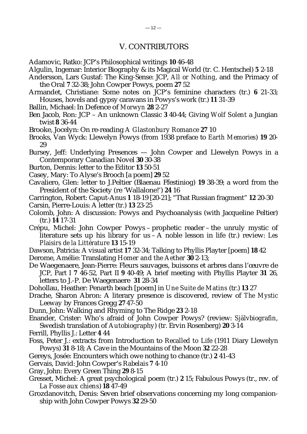Adamovic, Ratko: JCP's Philosophical writings **10** 46-48

- Algulin, Ingemar: Interior Biography & its Magical World (tr. C. Hentschel) **5** 2-18
- Andersson, Lars Gustaf: The King-Sense: JCP, *All or Nothing*, and the Primacy of the Oral **7** 32-38; John Cowper Powys, poem **27** 52
- Armandet, Christiane: Some notes on JCP's feminine characters (tr.) **6** 21-33; Houses, hovels and gypsy caravans in Powys's work (tr.) **11** 31-39
- Ballin, Michael: In Defence of *Morwyn* **28** 2-27
- Ben Jacob, Ron: JCP An unknown Classic **3** 40-44; Giving *Wolf Solent* a Jungian twist **8** 36-44
- Brooke, Jocelyn: On re-reading *A Glastonbury Romance* **27** 10
- Brooks, Van Wyck: Llewelyn Powys (from 1938 preface to *Earth Memories*) **19** 20- 29
- Bursey, Jeff: Underlying Presences John Cowper and Llewelyn Powys in a Contemporary Canadian Novel **30** 30-38
- Burton, Dennis: letter to the Editor **13** 50-51
- Casey, Mary: To Alyse's Brooch [a poem] **29** 52
- Cavaliero, Glen: letter to J.Peltier (Blaenau Ffestiniog) **19** 38-39; a word from the President of the Society (re 'Wallalone!') **24** 16
- Carrington, Robert: Caput-Anus **1** 18-19 [20-21]; "That Russian fragment" **12** 20-30 Carsin, Pierre-Louis: A letter (tr.) **13** 23-25
- Colomb, John: A discussion: Powys and Psychoanalysis (with Jacqueline Peltier) (tr.) **14** 17-31
- Crépu, Michel: John Cowper Powys prophetic reader the unruly mystic of literature sets up his library for us – A noble lesson in life (tr.) review: *Les Plaisirs de la Littérature* **13** 15-19
- Dawson, Patricia: A visual artist **17** 32-34; Talking to Phyllis Playter [poem] **18** 42
- Derome, Amélie: Translating *Homer and the Aether* **30** 2-13;
- De Waegenaere, Jean-Pierre: Fleurs sauvages, buissons et arbres dans l'œuvre de JCP, Part I **7** 46-52, Part II **9** 40-49; A brief meeting with Phyllis Playter **31** 26, letters to J.-P. De Waegenaere **31** 28-34
- Dohollau, Heather: Penarth beach [poem] in *Une Suite de Matins* (tr.) **13** 27
- Drache, Sharon Abron: A literary presence is discovered, review of *The Mystic Leeway* by Frances Gregg **27** 47-50
- Dunn, John: Walking and Rhyming to The Ridge **23** 2-18
- Enander, Crister: Who's afraid of John Cowper Powys? (review: *Självbiografin*, Swedish translation of *Autobiography*) (tr. Ervin Rosenberg) **20** 3-14
- Ferrill, Phyllis J.: Letter **4** 44
- Foss, Peter J.: extracts from Introduction to *Recalled to Life* (1911 Diary Llewelyn Powys) **31** 8-18; A Cave in the Mountains of the Moon **32** 22-28
- Gereys, Josée: Encounters which owe nothing to chance (tr.) **2** 41-43
- Gervais, David: John Cowper's *Rabelais* **7** 4-10
- Gray, John: Every Green Thing **29** 8-15
- Gresset, Michel: A great psychological poem (tr.) **2** 15; Fabulous Powys (tr., rev. of *La Fosse aux chiens*) **18** 47-49
- Grozdanovitch, Denis: Seven brief observations concerning my long companionship with John Cowper Powys **32** 29-50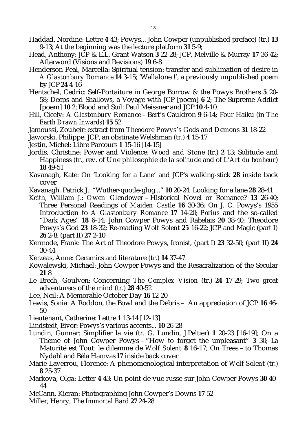$-13-$ 

- 9-13; At the beginning was the lecture platform **31** 5-9; Head, Anthony: JCP & E.L. Grant Watson **3** 22-28; JCP, Melville & Murray **17** 36-42; Afterword (Visions and Revisions) **19** 6-8
- Henderson-Peal, Marcella: Spiritual tension: transfer and sublimation of desire in *A Glastonbury Romance* **14** 3-15; 'Wallalone !', a previously unpublished poem by JCP **24** 4-16
- Hentschel, Cedric: Self-Portaiture in George Borrow & the Powys Brothers **5** 20- 58; Deeps and Shallows, a Voyage with JCP [poem] **6** 2; The Supreme Addict [poem] **10** 2; Blood and Soil: Paul Meissner and JCP **10** 4-10
- Hill, Cicely: *A Glastonbury Romance* Bert's Cauldron **9** 6-14; Four Haiku (in *The Earth Drawn Inwards*) **15** 52

Jamoussi, Zouheir: extract from *Theodore Powys's Gods and Demons* **31** 18-22

- Jaworski, Philippe: JCP, an obstinate Welshman (tr.) **4** 15-17
- Jestin, Michel: Libre Parcours **1** 15-16 [14-15]
- Jordis, Christine: Power and Violence: *Wood and Stone* (tr.) **2** 13; Solitude and Happiness (tr., rev. of *Une philosophie de la solitude* and of *L'Art du bonheur*) **18** 49-51
- Kavanagh, Kate: On 'Looking for a Lane' and JCP's walking-stick **28** inside back cover
- Kavanagh, Patrick J.: "Wuther-quotle-glug..." **10** 20-24; Looking for a lane **28** 28-41
- Keith, William J.: *Owen Glendower* Historical Novel or Romance? **13** 26-40; Three Personal Readings of *Maiden Castle* **16** 30-36; On J. C. Powys's 1955 Introduction to *A Glastonbury Romance* **17** 14-20; *Porius* and the so-called "Dark Ages" **18** 6-14; John Cowper Powys and Rabelais **20** 38-40; Theodore Powys's God **23** 18-32; Re-reading *Wolf Solent* **25** 16-22; JCP and Magic (part I) **26** 2-8; (part II) **27** 2-10
- Kermode, Frank: The Art of Theodore Powys, Ironist, (part I) **23** 32-50; (part II) **24** 30-44
- Kerzeas, Anne: Ceramics and literature (tr.) **14** 37-47
- Kowalewski, Michael: John Cowper Powys and the Resacralization of the Secular **21** 8
- Le Brech, Goulven: Concerning *The Complex Vision* (tr.) **24** 17-29; Two great adventurers of the mind (tr.) **28** 40-52
- Lee, Neil: A Memorable October Day **16** 12-20
- Lewis, Sonia: A Roddon, the Bowl and the Debris An appreciation of JCP **16** 46- 50
- Lieutenant, Catherine: Lettre **1** 13-14 [12-13]
- Lindstedt, Eivor: Powys's various accents... **10** 26-28
- Lundin, Gunnar: Simplifier la vie (tr. G. Lundin, J.Peltier) **1** 20-23 [16-19]; On a Theme of John Cowper Powys – "How to forget the unpleasant" **3** 30; La Maturité est Tout: le dilemme de *Wolf Solent* **8** 16-17; On Trees – to Thomas Nydahl and Béla Hamvas **17** inside back cover
- Marie-Laverrou, Florence: A phenomenological interpretation of *Wolf Solent* (tr.) **8** 25-37
- Markova, Olga: Letter **4** 43; Un point de vue russe sur John Cowper Powys **30** 40- 44
- McCann, Kieran: Photographing John Cowper's Downs **17** 52
- Miller, Henry, *The Immortal Bard* **27** 24-28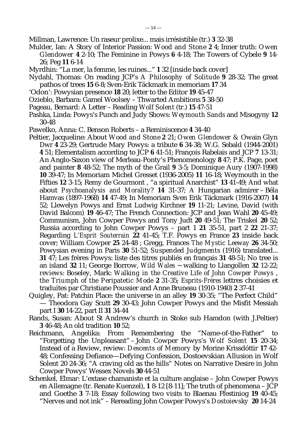Millman, Lawrence: Un raseur prolixe... mais irrésistible (tr.) **3** 32-38

- Mulder, Ian: A Story of Interior Passion: *Wood and Stone 2* 4; Inner truth: *Owen Glendower* **4** 2-10; The Feminine in Powys **6** 4-18; The Towers of Cybele **9** 14- 26; Peg **11** 6-14
- Myrdhin: "La mer, la femme, les ruines..." **1** 32 [inside back cover]
- Nydahl, Thomas: On reading JCP's *A Philosophy of Solitude* **9** 28-32; The great pathos of trees **15** 6-8; Sven-Erik Täckmark in memoriam **17** 34
- 'Odon': Powysian presence **18** 20; letter to the Editor **19** 45-47
- Ozieblo, Barbara: Gamel Woolsey Thwarted Ambitions **5** 38-50
- Pageau, Bernard: A Letter Reading *Wolf Solent* (tr.) **15** 47-51
- Pashka, Linda: Powys's Punch and Judy Shows: *Weymouth Sands* and Misogyny **12** 30-48
- Pawelko, Anna: C. Benson Roberts a Reminiscence **4** 34-40
- Peltier, Jacqueline: About *Wood and Stone* **2** 21; *Owen Glendower &* Owain Glyn Dwr **4** 23-29; Gertrude Mary Powys: a tribute **6** 34-38; W.G. Sebald (1944-2001) **4** 51; Elementalism according to JCP **6** 41-51; François Rabelais and JCP **7** 13-31; An Anglo-Saxon view of Merleau-Ponty's Phenomenology **8** 47; P.K. Page, poet and painter **8** 48-52; The myth of the Grail **9** 3-5; Dominique Aury (1907-1998) **10** 39-47; In Memoriam Michel Gresset (1936-2005) **11** 16-18; Weymouth in the Fifties **12** 3-15; Remy de Gourmont , "a spiritual Anarchist" **13** 41-49; And what about *Psychoanalysis and Morality*? **14** 31-37; A Hungarian admirer – Béla Hamvas (1897-1968) **14** 47-49; In Memoriam Sven Erik Täckmark (1916-2007) **14** 52; Llewelyn Powys and Ernst Ludwig Kirchner **19** 11-21; Levine, David (with David Balcom) **19** 46-47; The French Connection: JCP and Jean Wahl **20** 45-49; Communism, John Cowper Powys and Tony Judt **20** 49-51; The Triskel **20** 52; Russia according to John Cowper Powys – part 1 **21** 35-51, part 2 **22** 21-37; Regarding *L'Esprit Souterrain* **22** 41-45; T.F. Powys en France **23** inside back cover; William Cowper **25** 24-48 ; Gregg, Frances *The Mystic Leeway* **26** 34-50; Powysian evening in Paris **30** 51-52; *Suspended Judgments* (1916) translated... **31** 47; Les frères Powys: liste des titres publiés en français **31** 48-51; No tree is an island **32** 11; George Borrow, *Wild Wales* ~ walking to Llangollen **32** 12-22; *reviews*: Boseley, Mark: *Walking in the Creative Life of John Cowper Powys , the Triumph of the Peripatetic Mode* **2** 31-35; *Esprits-Frères* lettres choisies et traduites par Christiane Poussier and Anne Bruneau (1910-1940) **2** 37-41
- Quigley, Pat: Patchin Place: the universe in an alley **19** 30-35; "The Perfect Child" — Theodora Gay Scutt **29** 30-43; John Cowper Powys and the Misfit Messiah part I **30** 14-22, part II **31** 34-44
- Rands, Susan: About St Andrew's church in Stoke sub Hamdon (with J.Peltier) **3** 46-48; An old tradition **10** 52;
- Reichmann, Angelika: From Remembering the "Name-of-the-Father" to "Forgetting the Unpleasant" – John Cowper Powys's *Wolf Solent* **15** 20-34; Instead of a Review, review: *Descents of Memory* by Morine Krissdóttir **17** 42- 48; Confessing Defiance—Defying Confession, Dostoevskian Allusion in Wolf Solent 20 24-36; "A craving old as the hills" Notes on Narrative Desire in John Cowper Powys' Wessex Novels **30** 44-51
- Schenkel, Elmar: L'extase chamaniste et la culture anglaise John Cowper Powys en Allemagne (tr. Renate Kuenzel), **1** 8-12 [8-11]; The truth of phenomena – JCP and Goethe **3** 7-18; Essay following two visits to Blaenau Ffestiniog **19** 40-45; "Nerves and not ink" – Rereading John Cowper Powys's *Dostoievsky* **20** 14-24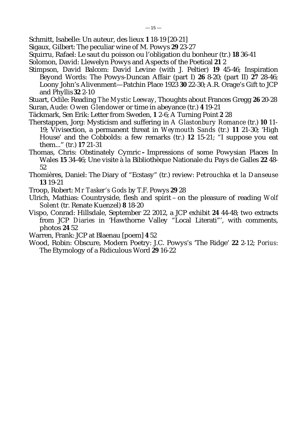Schmitt, Isabelle: Un auteur, des lieux **1** 18-19 [20-21]

Sigaux, Gilbert: The peculiar wine of M. Powys **29** 23-27

Squirru, Rafael: Le saut du poisson ou l'obligation du bonheur (tr.) **18** 36-41

Solomon, David: Llewelyn Powys and Aspects of the Poetical **21** 2

Stimpson, David Balcom: David Levine (with J. Peltier) **19** 45-46; Inspiration Beyond Words: The Powys-Duncan Affair (part I) **26** 8-20; (part II) **27** 28-46; Loony John's Alivenment—Patchin Place 1923 **30** 22-30; A.R. Orage's Gift to JCP and Phyllis **32** 2-10

Stuart, Odile: Reading *The Mystic Leeway*, Thoughts about Frances Gregg **26** 20-28 Suran, Aude*: Owen Glendower* or time in abeyance (tr.) **4** 19-21

- Täckmark, Sen Erik: Letter from Sweden, **1** 2-6; A Turning Point **2** 28
- Therstappen, Jorg: Mysticism and suffering in *A Glastonbury Romance* (tr.) **10** 11-
	- 19; Vivisection, a permanent threat in *Weymouth Sands* (tr.) **11** 21-30; 'High House' and the Cobbolds: a few remarks (tr.) **12** 15-21; "I suppose you eat them..." (tr.) **17** 21-31
- Thomas, Chris: Obstinately CymricImpressions of some Powysian Places In Wales **15** 34-46; Une visite à la Bibliothèque Nationale du Pays de Galles **22** 48- 52
- Thomières, Daniel: The Diary of "Ecstasy" (tr.) review: *Petrouchka et la Danseuse* **13** 19-21

Troop, Robert: *Mr Tasker's Gods* by T.F. Powys **29** 28

- Ulrich, Mathias: Countryside, flesh and spirit on the pleasure of reading *Wolf Solent* (tr. Renate Kuenzel) **8** 18-20
- Vispo, Conrad: Hillsdale, September 22 2012, a JCP exhibit **24** 44-48; two extracts from JCP *Diaries* in 'Hawthorne Valley "Local Literati"', with comments, photos **24** 52
- Warren, Frank: JCP at Blaenau [poem] **4** 52
- Wood, Robin: Obscure, Modern Poetry: J.C. Powys's 'The Ridge' **22** 2-12; *Porius*: The Etymology of a Ridiculous Word **29** 16-22